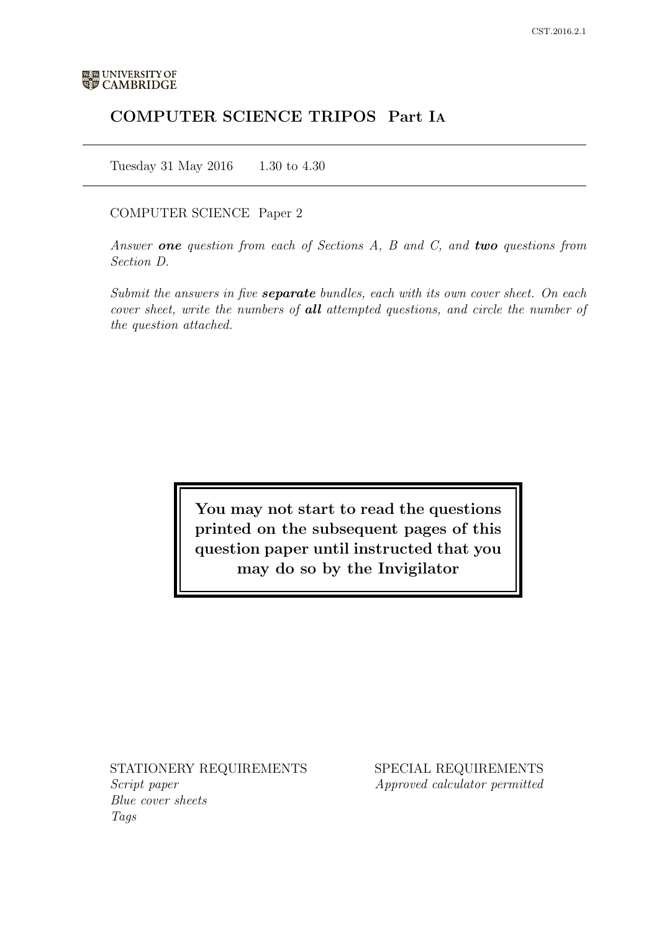# COMPUTER SCIENCE TRIPOS Part IA

Tuesday 31 May 2016 1.30 to 4.30

## COMPUTER SCIENCE Paper 2

Answer one question from each of Sections  $A$ ,  $B$  and  $C$ , and two questions from Section D.

Submit the answers in five **separate** bundles, each with its own cover sheet. On each cover sheet, write the numbers of **all** attempted questions, and circle the number of the question attached.

> You may not start to read the questions printed on the subsequent pages of this question paper until instructed that you may do so by the Invigilator

STATIONERY REQUIREMENTS Script paper

Blue cover sheets Tags

SPECIAL REQUIREMENTS Approved calculator permitted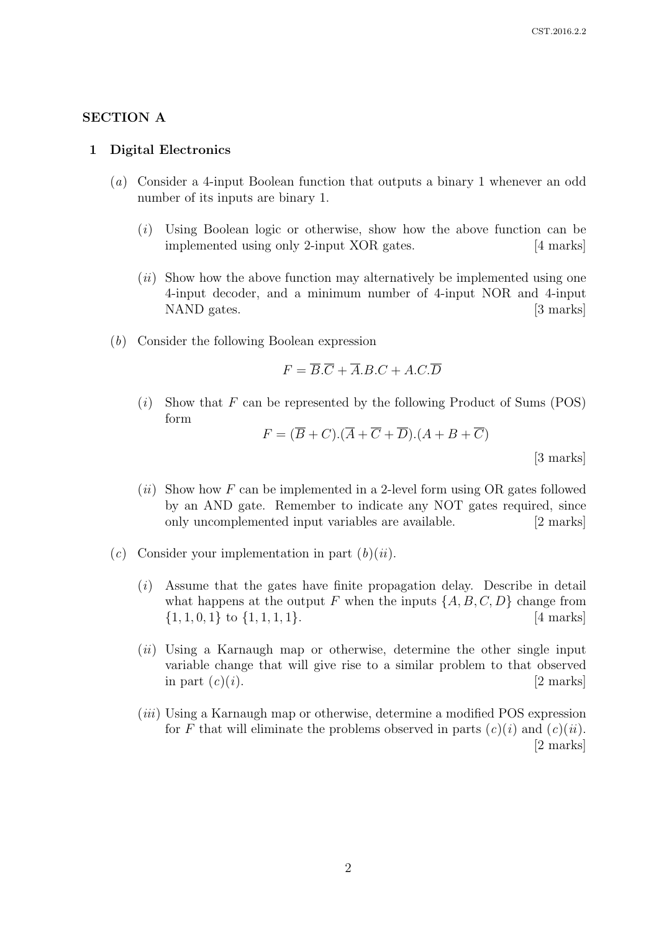## SECTION A

#### 1 Digital Electronics

- (a) Consider a 4-input Boolean function that outputs a binary 1 whenever an odd number of its inputs are binary 1.
	- (i) Using Boolean logic or otherwise, show how the above function can be implemented using only 2-input XOR gates. [4 marks]
	- $(ii)$  Show how the above function may alternatively be implemented using one 4-input decoder, and a minimum number of 4-input NOR and 4-input NAND gates. [3 marks]
- (b) Consider the following Boolean expression

$$
F = \overline{B}.\overline{C} + \overline{A}.B.C + A.C.\overline{D}
$$

 $(i)$  Show that F can be represented by the following Product of Sums (POS) form

$$
F = (B + C).(A + C + D).(A + B + C)
$$

[3 marks]

- $(ii)$  Show how F can be implemented in a 2-level form using OR gates followed by an AND gate. Remember to indicate any NOT gates required, since only uncomplemented input variables are available. [2 marks]
- (c) Consider your implementation in part  $(b)(ii)$ .
	- (i) Assume that the gates have finite propagation delay. Describe in detail what happens at the output F when the inputs  $\{A, B, C, D\}$  change from  $\{1, 1, 0, 1\}$  to  $\{1, 1, 1, 1\}$ . [4 marks]
	- $(ii)$  Using a Karnaugh map or otherwise, determine the other single input variable change that will give rise to a similar problem to that observed in part  $(c)(i)$ . [2 marks]
	- (iii) Using a Karnaugh map or otherwise, determine a modified POS expression for F that will eliminate the problems observed in parts  $(c)(i)$  and  $(c)(ii)$ . [2 marks]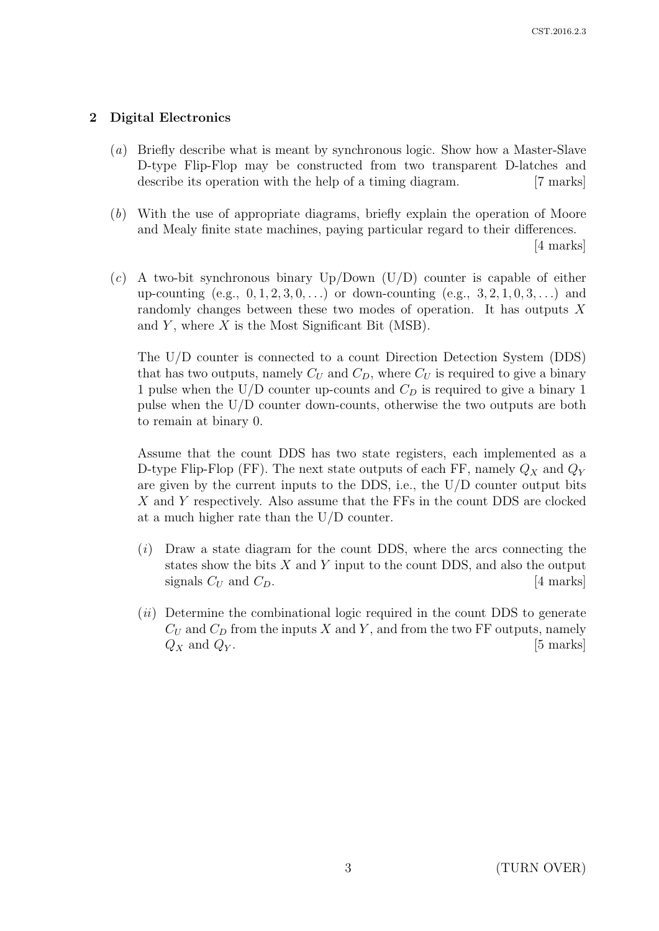# 2 Digital Electronics

- (a) Briefly describe what is meant by synchronous logic. Show how a Master-Slave D-type Flip-Flop may be constructed from two transparent D-latches and describe its operation with the help of a timing diagram. [7 marks]
- (b) With the use of appropriate diagrams, briefly explain the operation of Moore and Mealy finite state machines, paying particular regard to their differences. [4 marks]
- (c) A two-bit synchronous binary  $Up/Down$  (U/D) counter is capable of either up-counting  $(e.g., 0, 1, 2, 3, 0, ...)$  or down-counting  $(e.g., 3, 2, 1, 0, 3, ...)$  and randomly changes between these two modes of operation. It has outputs X and Y, where  $X$  is the Most Significant Bit (MSB).

The U/D counter is connected to a count Direction Detection System (DDS) that has two outputs, namely  $C_U$  and  $C_D$ , where  $C_U$  is required to give a binary 1 pulse when the U/D counter up-counts and  $C_D$  is required to give a binary 1 pulse when the U/D counter down-counts, otherwise the two outputs are both to remain at binary 0.

Assume that the count DDS has two state registers, each implemented as a D-type Flip-Flop (FF). The next state outputs of each FF, namely  $Q_X$  and  $Q_Y$ are given by the current inputs to the DDS, i.e., the U/D counter output bits X and Y respectively. Also assume that the FFs in the count DDS are clocked at a much higher rate than the U/D counter.

- $(i)$  Draw a state diagram for the count DDS, where the arcs connecting the states show the bits  $X$  and  $Y$  input to the count DDS, and also the output signals  $C_U$  and  $C_D$ . [4 marks]
- $(ii)$  Determine the combinational logic required in the count DDS to generate  $C_U$  and  $C_D$  from the inputs X and Y, and from the two FF outputs, namely  $Q_X$  and  $Q_Y$ . [5 marks]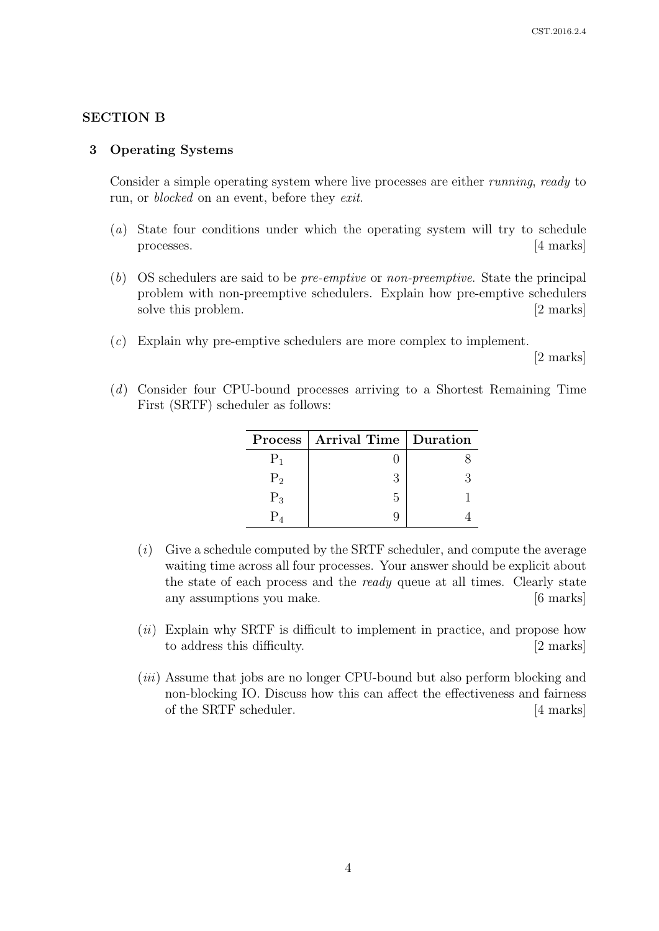# SECTION B

### 3 Operating Systems

Consider a simple operating system where live processes are either *running*, ready to run, or *blocked* on an event, before they *exit*.

- (a) State four conditions under which the operating system will try to schedule processes. [4 marks]
- (b) OS schedulers are said to be pre-emptive or non-preemptive. State the principal problem with non-preemptive schedulers. Explain how pre-emptive schedulers solve this problem. [2 marks]
- (c) Explain why pre-emptive schedulers are more complex to implement.

[2 marks]

(d) Consider four CPU-bound processes arriving to a Shortest Remaining Time First (SRTF) scheduler as follows:

|       | Process   Arrival Time   Duration |  |
|-------|-----------------------------------|--|
|       |                                   |  |
| $P_2$ |                                   |  |
| $P_3$ | 5                                 |  |
|       |                                   |  |

- $(i)$  Give a schedule computed by the SRTF scheduler, and compute the average waiting time across all four processes. Your answer should be explicit about the state of each process and the ready queue at all times. Clearly state any assumptions you make. [6 marks]
- (*ii*) Explain why SRTF is difficult to implement in practice, and propose how to address this difficulty. [2 marks]
- (iii) Assume that jobs are no longer CPU-bound but also perform blocking and non-blocking IO. Discuss how this can affect the effectiveness and fairness of the SRTF scheduler. [4 marks]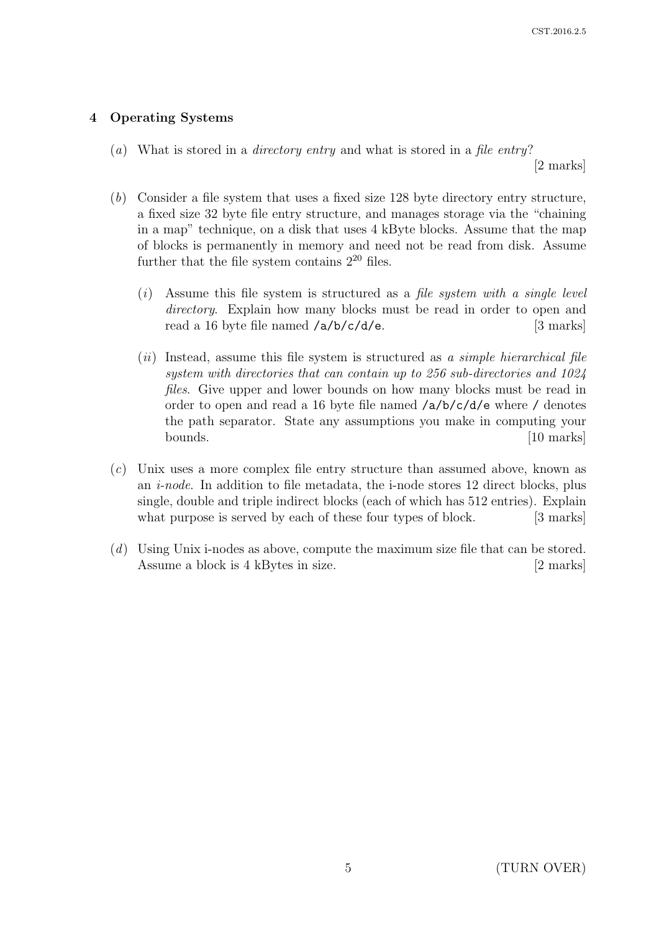# 4 Operating Systems

(a) What is stored in a *directory entry* and what is stored in a *file entry?* 

[2 marks]

- (b) Consider a file system that uses a fixed size 128 byte directory entry structure, a fixed size 32 byte file entry structure, and manages storage via the "chaining in a map" technique, on a disk that uses 4 kByte blocks. Assume that the map of blocks is permanently in memory and need not be read from disk. Assume further that the file system contains  $2^{20}$  files.
	- $(i)$  Assume this file system is structured as a file system with a single level directory. Explain how many blocks must be read in order to open and read a 16 byte file named  $\langle a/b/c/d/e$ . [3 marks]
	- $(ii)$  Instead, assume this file system is structured as a simple hierarchical file system with directories that can contain up to 256 sub-directories and 1024 files. Give upper and lower bounds on how many blocks must be read in order to open and read a 16 byte file named  $\frac{a}{b}/c/d/e$  where  $\ell$  denotes the path separator. State any assumptions you make in computing your bounds. [10 marks]
- (c) Unix uses a more complex file entry structure than assumed above, known as an  $i$ -node. In addition to file metadata, the i-node stores 12 direct blocks, plus single, double and triple indirect blocks (each of which has 512 entries). Explain what purpose is served by each of these four types of block. [3 marks]
- (d) Using Unix i-nodes as above, compute the maximum size file that can be stored. Assume a block is 4 kBytes in size. [2 marks]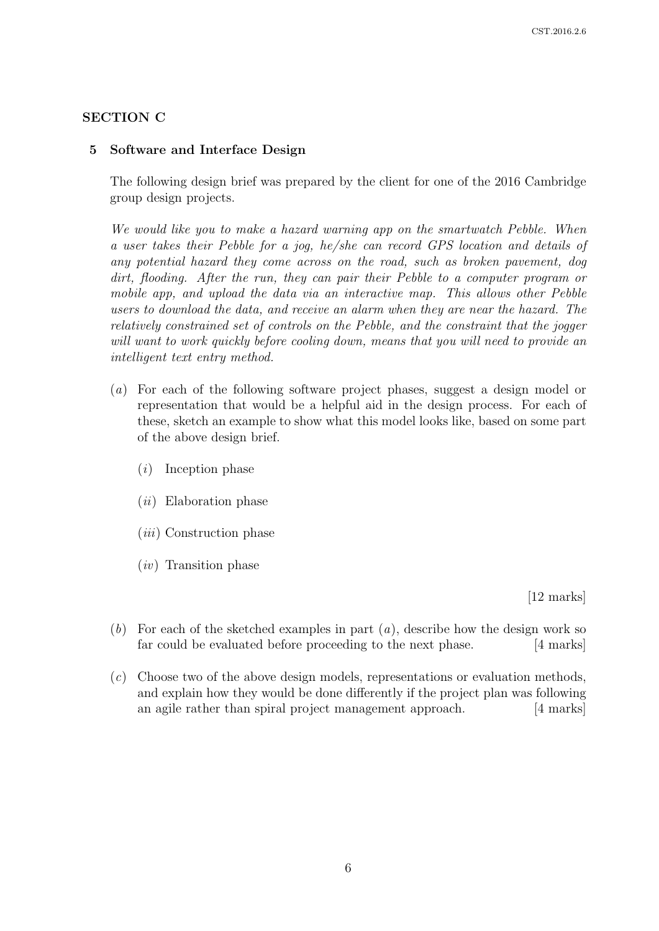# SECTION C

# 5 Software and Interface Design

The following design brief was prepared by the client for one of the 2016 Cambridge group design projects.

We would like you to make a hazard warning app on the smartwatch Pebble. When a user takes their Pebble for a jog, he/she can record GPS location and details of any potential hazard they come across on the road, such as broken pavement, dog dirt, flooding. After the run, they can pair their Pebble to a computer program or mobile app, and upload the data via an interactive map. This allows other Pebble users to download the data, and receive an alarm when they are near the hazard. The relatively constrained set of controls on the Pebble, and the constraint that the jogger will want to work quickly before cooling down, means that you will need to provide an intelligent text entry method.

- (a) For each of the following software project phases, suggest a design model or representation that would be a helpful aid in the design process. For each of these, sketch an example to show what this model looks like, based on some part of the above design brief.
	- (i) Inception phase
	- (ii) Elaboration phase
	- (iii) Construction phase
	- (iv) Transition phase

[12 marks]

- (b) For each of the sketched examples in part  $(a)$ , describe how the design work so far could be evaluated before proceeding to the next phase. [4 marks]
- $(c)$  Choose two of the above design models, representations or evaluation methods, and explain how they would be done differently if the project plan was following an agile rather than spiral project management approach. [4 marks]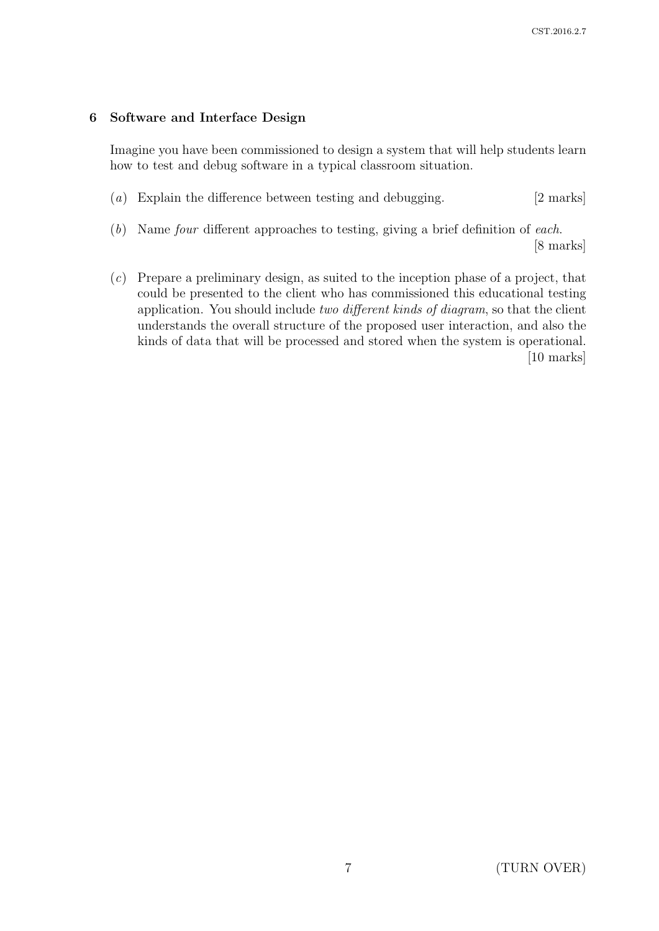# 6 Software and Interface Design

Imagine you have been commissioned to design a system that will help students learn how to test and debug software in a typical classroom situation.

- (a) Explain the difference between testing and debugging. [2 marks]
- (b) Name four different approaches to testing, giving a brief definition of each. [8 marks]
- (c) Prepare a preliminary design, as suited to the inception phase of a project, that could be presented to the client who has commissioned this educational testing application. You should include two different kinds of diagram, so that the client understands the overall structure of the proposed user interaction, and also the kinds of data that will be processed and stored when the system is operational. [10 marks]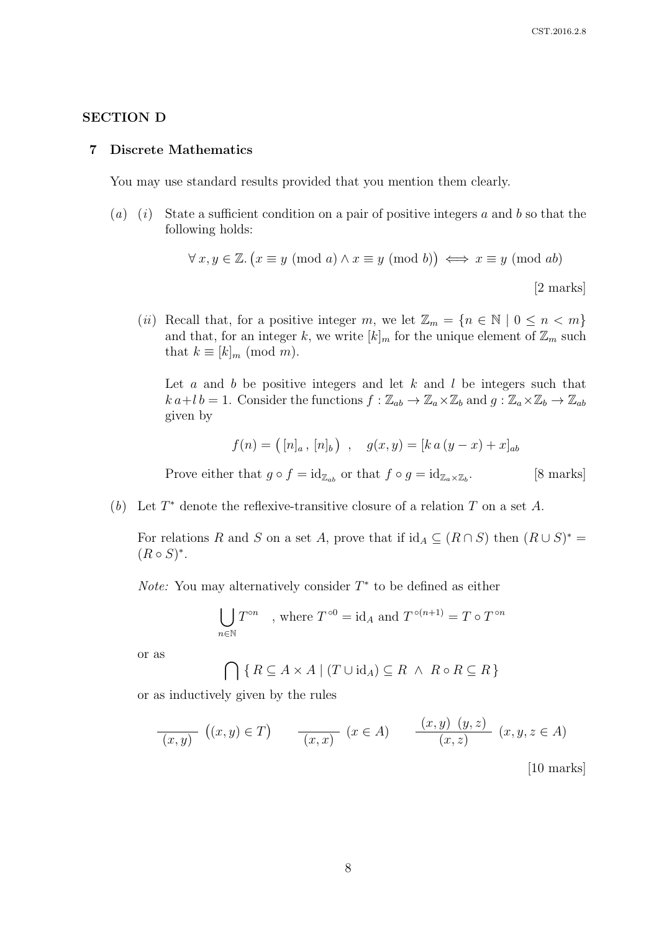### SECTION D

#### 7 Discrete Mathematics

You may use standard results provided that you mention them clearly.

(a) (i) State a sufficient condition on a pair of positive integers a and b so that the following holds:

$$
\forall x, y \in \mathbb{Z}. (x \equiv y \pmod{a} \land x \equiv y \pmod{b}) \iff x \equiv y \pmod{ab}
$$
\n[2 marks]

(ii) Recall that, for a positive integer m, we let  $\mathbb{Z}_m = \{n \in \mathbb{N} \mid 0 \leq n < m\}$ and that, for an integer k, we write  $[k]_m$  for the unique element of  $\mathbb{Z}_m$  such that  $k \equiv [k]_m \pmod{m}$ .

Let  $a$  and  $b$  be positive integers and let  $k$  and  $l$  be integers such that  $k a+l b=1$ . Consider the functions  $f: \mathbb{Z}_{ab} \to \mathbb{Z}_{a} \times \mathbb{Z}_{b}$  and  $g: \mathbb{Z}_{a} \times \mathbb{Z}_{b} \to \mathbb{Z}_{ab}$ given by

$$
f(n) = ([n]_a, [n]_b), \quad g(x, y) = [k a (y - x) + x]_{ab}
$$

Prove either that  $g \circ f = id_{\mathbb{Z}_{ab}}$  or that  $f \circ g = id_{\mathbb{Z}_{a} \times \mathbb{Z}_{b}}$ . . [8 marks]

(b) Let  $T^*$  denote the reflexive-transitive closure of a relation  $T$  on a set  $A$ .

For relations R and S on a set A, prove that if  $id_A \subseteq (R \cap S)$  then  $(R \cup S)^*$  $(R \circ S)^*$ .

*Note:* You may alternatively consider  $T^*$  to be defined as either

$$
\bigcup_{n \in \mathbb{N}} T^{\circ n}
$$
, where  $T^{\circ 0} = id_A$  and  $T^{\circ (n+1)} = T \circ T^{\circ n}$ 

or as

$$
\bigcap \{ R \subseteq A \times A \mid (T \cup id_A) \subseteq R \ \land \ R \circ R \subseteq R \}
$$

or as inductively given by the rules

$$
\frac{f(x,y)}{(x,y)}\left((x,y)\in T\right) \qquad \frac{f(x,x)}{(x,x)}\quad (x\in A) \qquad \frac{f(x,y)}{(x,z)}\quad (x,y,z\in A)
$$
\n[10 marks]

 $|10 \text{ marks}|$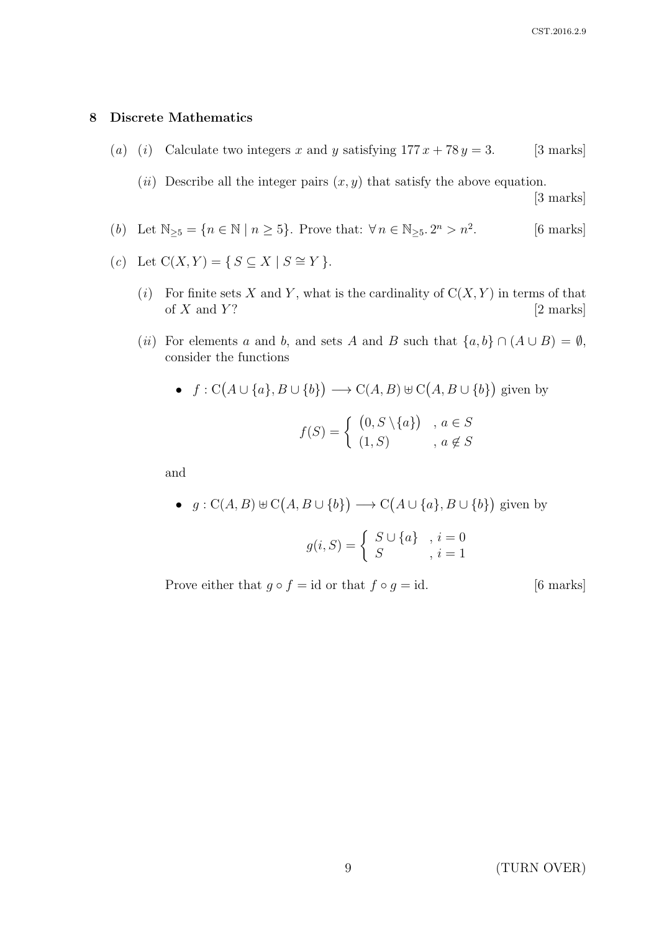### 8 Discrete Mathematics

- (a) (i) Calculate two integers x and y satisfying  $177 x + 78 y = 3$ . [3 marks]
	- (*ii*) Describe all the integer pairs  $(x, y)$  that satisfy the above equation.

[3 marks]

- (b) Let  $\mathbb{N}_{\geq 5} = \{n \in \mathbb{N} \mid n \geq 5\}$ . Prove that:  $\forall n \in \mathbb{N}_{\geq 5}$ .  $2^n > n^2$ [6 marks]
- (c) Let  $C(X, Y) = \{ S \subseteq X \mid S \cong Y \}.$ 
	- (i) For finite sets X and Y, what is the cardinality of  $C(X, Y)$  in terms of that of  $X$  and  $Y$ ? [2 marks]
	- (ii) For elements a and b, and sets A and B such that  $\{a, b\} \cap (A \cup B) = \emptyset$ , consider the functions

• 
$$
f: C(A \cup \{a\}, B \cup \{b\}) \longrightarrow C(A, B) \oplus C(A, B \cup \{b\})
$$
 given by  

$$
f(S) = \begin{cases} (0, S \setminus \{a\}) & a \in S \\ (1, S) & a \notin S \end{cases}
$$

and

•  $g: C(A, B) \cup C(A, B \cup \{b\}) \longrightarrow C(A \cup \{a\}, B \cup \{b\})$  given by

$$
g(i, S) = \left\{ \begin{array}{ll} S \cup \{a\} & i = 0 \\ S & i = 1 \end{array} \right.
$$

Prove either that  $g \circ f = id$  or that  $f \circ g = id$ . [6 marks]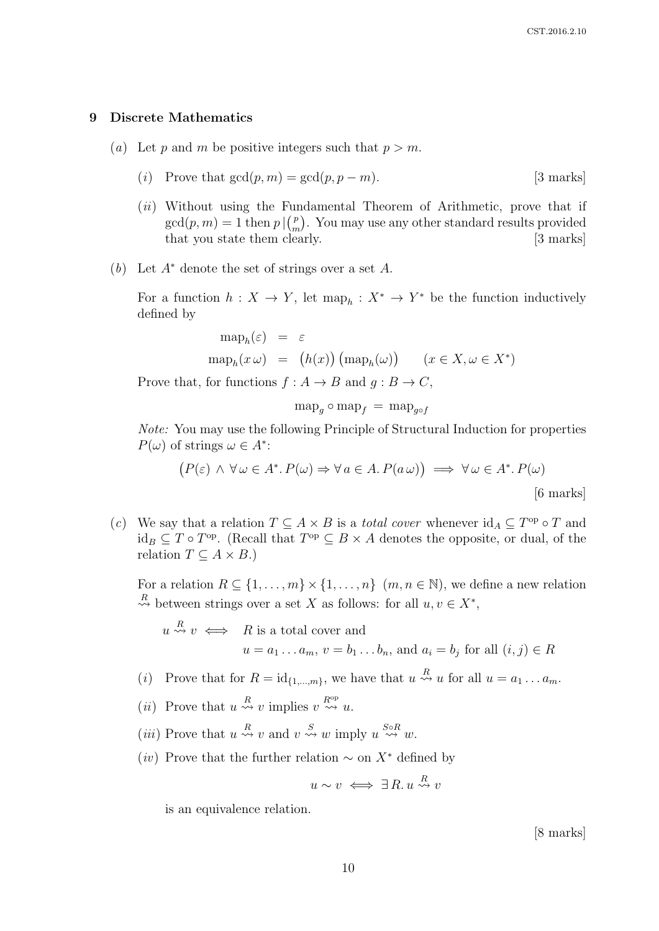#### 9 Discrete Mathematics

- (a) Let p and m be positive integers such that  $p > m$ .
	- (i) Prove that  $gcd(p, m) = gcd(p, p m)$ . [3 marks]
	- (*ii*) Without using the Fundamental Theorem of Arithmetic, prove that if  $gcd(p, m) = 1$  then  $p \mid {p \choose m}$  $\binom{p}{m}$ . You may use any other standard results provided that you state them clearly. [3 marks]
- (b) Let  $A^*$  denote the set of strings over a set A.

For a function  $h: X \to Y$ , let  $\operatorname{map}_h: X^* \to Y^*$  be the function inductively defined by

$$
\begin{array}{rcl}\n\text{map}_h(\varepsilon) & = & \varepsilon \\
\text{map}_h(x\,\omega) & = & \big(h(x)\big) \left(\text{map}_h(\omega)\right) \qquad (x \in X, \omega \in X^*)\n\end{array}
$$

Prove that, for functions  $f : A \to B$  and  $g : B \to C$ ,

$$
\operatorname{map}_g \circ \operatorname{map}_f = \operatorname{map}_{g \circ f}
$$

Note: You may use the following Principle of Structural Induction for properties  $P(\omega)$  of strings  $\omega \in A^*$ :

$$
(P(\varepsilon) \land \forall \omega \in A^*. P(\omega) \Rightarrow \forall a \in A. P(a \omega) \implies \forall \omega \in A^*. P(\omega)
$$
  
[6 marks]

(c) We say that a relation  $T \subseteq A \times B$  is a *total cover* whenever  $\mathrm{id}_A \subseteq T^{\mathrm{op}} \circ T$  and  $\mathrm{id}_B \subseteq T \circ T^{\mathrm{op}}$ . (Recall that  $T^{\mathrm{op}} \subseteq B \times A$  denotes the opposite, or dual, of the relation  $T \subseteq A \times B$ .)

For a relation  $R \subseteq \{1, \ldots, m\} \times \{1, \ldots, n\}$   $(m, n \in \mathbb{N})$ , we define a new relation  $R \leftrightarrow B$  between strings over a set X as follows: for all  $u, v \in X^*$ ,

 $u \stackrel{R}{\rightsquigarrow} v \iff R$  is a total cover and  $u = a_1 \dots a_m$ ,  $v = b_1 \dots b_n$ , and  $a_i = b_j$  for all  $(i, j) \in R$ 

- (*i*) Prove that for  $R = id_{\{1,\dots,m\}}$ , we have that  $u \stackrel{R}{\leadsto} u$  for all  $u = a_1 \dots a_m$ .
- (*ii*) Prove that  $u \stackrel{R}{\leadsto} v$  implies  $v \stackrel{R^{\rm op}}{\leadsto} u$ .
- (*iii*) Prove that  $u \stackrel{R}{\rightsquigarrow} v$  and  $v \stackrel{S}{\rightsquigarrow} w$  imply  $u \stackrel{S \circ R}{\rightsquigarrow} w$ .
- (iv) Prove that the further relation  $\sim$  on  $X^*$  defined by

$$
u \sim v \iff \exists R. u \stackrel{R}{\rightsquigarrow} v
$$

is an equivalence relation.

[8 marks]